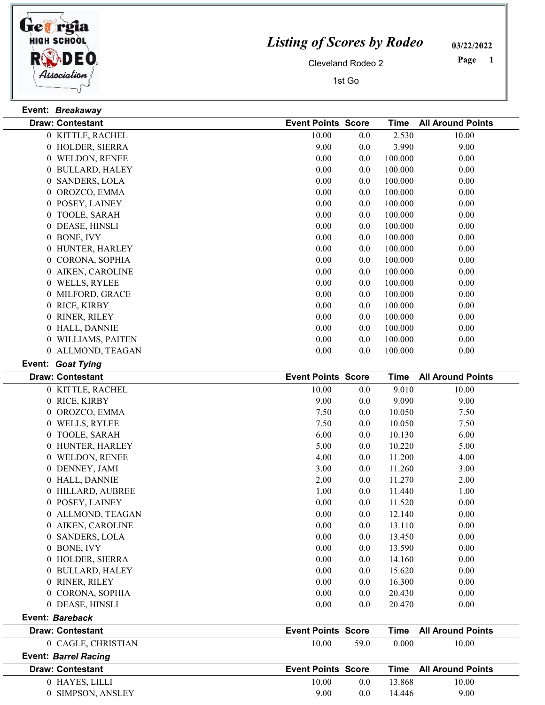

Event: Breakaway

## Listing of Scores by Rodeo

03/22/2022

Cleveland Rodeo 2

1st Go

 Page

| <b>Draw: Contestant</b> | <b>Event Points Score</b> |         | <b>Time</b> | <b>All Around Points</b> |
|-------------------------|---------------------------|---------|-------------|--------------------------|
| 0 KITTLE, RACHEL        | 10.00                     | 0.0     | 2.530       | 10.00                    |
| 0 HOLDER, SIERRA        | 9.00                      | 0.0     | 3.990       | 9.00                     |
| 0 WELDON, RENEE         | 0.00                      | 0.0     | 100.000     | 0.00                     |
| 0 BULLARD, HALEY        | 0.00                      | 0.0     | 100.000     | 0.00                     |
| 0 SANDERS, LOLA         | 0.00                      | 0.0     | 100.000     | 0.00                     |
| 0 OROZCO, EMMA          | 0.00                      | 0.0     | 100.000     | 0.00                     |
| 0 POSEY, LAINEY         | 0.00                      | 0.0     | 100.000     | 0.00                     |
| 0 TOOLE, SARAH          | 0.00                      | 0.0     | 100.000     | 0.00                     |
| 0 DEASE, HINSLI         | 0.00                      | 0.0     | 100.000     | 0.00                     |
| 0 BONE, IVY             | 0.00                      | 0.0     | 100.000     | 0.00                     |
| 0 HUNTER, HARLEY        | 0.00                      | 0.0     | 100.000     | 0.00                     |
| 0 CORONA, SOPHIA        | 0.00                      | 0.0     | 100.000     | 0.00                     |
| 0 AIKEN, CAROLINE       | 0.00                      | 0.0     | 100.000     | 0.00                     |
| 0 WELLS, RYLEE          | 0.00                      | 0.0     | 100.000     | 0.00                     |
| 0 MILFORD, GRACE        | 0.00                      | 0.0     | 100.000     | 0.00                     |
| 0 RICE, KIRBY           | 0.00                      | 0.0     | 100.000     | 0.00                     |
| 0 RINER, RILEY          | 0.00                      | 0.0     | 100.000     | 0.00                     |
| 0 HALL, DANNIE          | 0.00                      | 0.0     | 100.000     | 0.00                     |
| 0 WILLIAMS, PAITEN      | 0.00                      | 0.0     | 100.000     | 0.00                     |
| 0 ALLMOND, TEAGAN       | 0.00                      | 0.0     | 100.000     | 0.00                     |
| Event: Goat Tying       |                           |         |             |                          |
| <b>Draw: Contestant</b> | <b>Event Points Score</b> |         | <b>Time</b> | <b>All Around Points</b> |
| 0 KITTLE, RACHEL        | 10.00                     | 0.0     | 9.010       | 10.00                    |
| 0 RICE, KIRBY           | 9.00                      | 0.0     | 9.090       | 9.00                     |
| 0 OROZCO, EMMA          | 7.50                      | 0.0     | 10.050      | 7.50                     |
| 0 WELLS, RYLEE          | 7.50                      | 0.0     | 10.050      | 7.50                     |
| 0 TOOLE, SARAH          | 6.00                      | 0.0     | 10.130      | 6.00                     |
| 0 HUNTER, HARLEY        | 5.00                      | 0.0     | 10.220      | 5.00                     |
| 0 WELDON, RENEE         | 4.00                      | 0.0     | 11.200      | 4.00                     |
| 0 DENNEY, JAMI          | 3.00                      | 0.0     | 11.260      | 3.00                     |
| 0 HALL, DANNIE          | 2.00                      | 0.0     | 11.270      | 2.00                     |
| 0 HILLARD, AUBREE       | 1.00                      | 0.0     | 11.440      | 1.00                     |
| 0 POSEY, LAINEY         | 0.00                      | 0.0     | 11.520      | 0.00                     |
| 0 ALLMOND, TEAGAN       | 0.00                      | 0.0     | 12.140      | 0.00                     |
| 0 AIKEN, CAROLINE       | 0.00                      | 0.0     | 13.110      | 0.00                     |
| 0 SANDERS, LOLA         | 0.00                      | $0.0\,$ | 13.450      | 0.00                     |
| 0 BONE, IVY             | 0.00                      | 0.0     | 13.590      | 0.00                     |
| 0 HOLDER, SIERRA        | 0.00                      | 0.0     | 14.160      | 0.00                     |
| 0 BULLARD, HALEY        | 0.00                      | 0.0     | 15.620      | 0.00                     |
| 0 RINER, RILEY          | 0.00                      | 0.0     | 16.300      | 0.00                     |
| 0 CORONA, SOPHIA        | 0.00                      | 0.0     | 20.430      | 0.00                     |
|                         |                           |         |             |                          |

Event: Bareback Draw: Contestant **Score Time All Around Points** Event Points Score Time All Around Points 0 CAGLE, CHRISTIAN 10.00 59.0 0.000 10.00 Event: Barrel Racing Draw: Contestant **Score Time All Around Points** Event Points Score Time All Around Points 0 HAYES, LILLI 10.00 0.0 13.868 10.00

0 SIMPSON, ANSLEY 9.00 0.0 14.446 9.00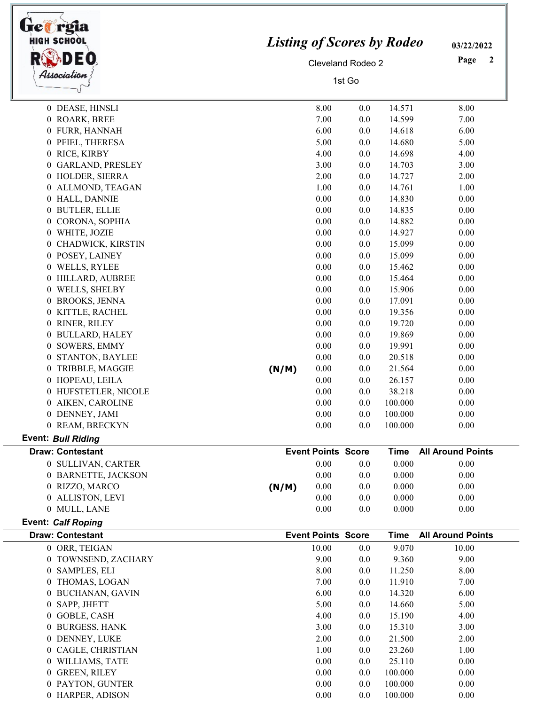| <b>HIGH SCHOOL</b><br>DEO              | <b>Listing of Scores by Rodeo</b>  | 03/22/2022<br>Page<br>2            |            |                      |                          |
|----------------------------------------|------------------------------------|------------------------------------|------------|----------------------|--------------------------|
| Association                            | <b>Cleveland Rodeo 2</b><br>1st Go |                                    |            |                      |                          |
| 0 DEASE, HINSLI                        |                                    | 8.00                               | 0.0        | 14.571               | 8.00                     |
| 0 ROARK, BREE                          |                                    | 7.00                               | 0.0        | 14.599               | 7.00                     |
| 0 FURR, HANNAH                         |                                    | 6.00                               | 0.0        | 14.618               | 6.00                     |
| 0 PFIEL, THERESA                       |                                    | 5.00                               | 0.0        | 14.680               | 5.00                     |
| 0 RICE, KIRBY                          |                                    | 4.00                               | 0.0        | 14.698               | 4.00                     |
| 0 GARLAND, PRESLEY                     |                                    | 3.00                               | 0.0        | 14.703               | 3.00                     |
| 0 HOLDER, SIERRA                       |                                    | 2.00                               | 0.0        | 14.727               | 2.00                     |
| 0 ALLMOND, TEAGAN                      |                                    | 1.00                               | 0.0        | 14.761               | 1.00                     |
| 0 HALL, DANNIE                         |                                    | 0.00                               | 0.0        | 14.830               | 0.00                     |
| 0 BUTLER, ELLIE                        |                                    | 0.00                               | 0.0        | 14.835               | 0.00                     |
| 0 CORONA, SOPHIA                       |                                    | 0.00                               | 0.0        | 14.882               | 0.00                     |
| 0 WHITE, JOZIE                         |                                    | 0.00                               | 0.0        | 14.927               | 0.00                     |
| 0 CHADWICK, KIRSTIN                    |                                    | 0.00                               | 0.0        | 15.099               | 0.00                     |
| 0 POSEY, LAINEY                        |                                    | 0.00                               | 0.0        | 15.099               | 0.00                     |
| 0 WELLS, RYLEE                         |                                    | 0.00                               | 0.0        | 15.462               | 0.00                     |
| 0 HILLARD, AUBREE                      |                                    | 0.00                               | 0.0        | 15.464               | 0.00                     |
| 0 WELLS, SHELBY                        |                                    | 0.00                               | 0.0        | 15.906               | 0.00                     |
| 0 BROOKS, JENNA                        |                                    | 0.00                               | 0.0        | 17.091               | 0.00                     |
| 0 KITTLE, RACHEL                       |                                    | 0.00                               | 0.0        | 19.356               | 0.00                     |
| 0 RINER, RILEY                         |                                    | 0.00<br>0.00                       | 0.0        | 19.720<br>19.869     | 0.00                     |
| 0 BULLARD, HALEY<br>0 SOWERS, EMMY     |                                    |                                    | 0.0        |                      | 0.00                     |
|                                        |                                    | 0.00<br>0.00                       | 0.0<br>0.0 | 19.991<br>20.518     | 0.00<br>0.00             |
| 0 STANTON, BAYLEE<br>0 TRIBBLE, MAGGIE | (N/M)                              | 0.00                               | 0.0        | 21.564               | 0.00                     |
| 0 HOPEAU, LEILA                        |                                    | 0.00                               | 0.0        | 26.157               | 0.00                     |
| 0 HUFSTETLER, NICOLE                   |                                    | 0.00                               | 0.0        | 38.218               | 0.00                     |
| 0 AIKEN, CAROLINE                      |                                    | 0.00                               | 0.0        | 100.000              | $0.00\,$                 |
| 0 DENNEY, JAMI                         |                                    | 0.00                               | 0.0        | 100.000              | 0.00                     |
| 0 REAM, BRECKYN                        |                                    | 0.00                               | 0.0        | 100.000              | 0.00                     |
| <b>Event: Bull Riding</b>              |                                    |                                    |            |                      |                          |
| <b>Draw: Contestant</b>                |                                    | <b>Event Points Score</b>          |            | <b>Time</b>          | <b>All Around Points</b> |
| 0 SULLIVAN, CARTER                     |                                    | 0.00                               | 0.0        | 0.000                | 0.00                     |
| 0 BARNETTE, JACKSON                    |                                    | 0.00                               | 0.0        | 0.000                | 0.00                     |
| 0 RIZZO, MARCO                         | (N/M)                              | 0.00                               | 0.0        | 0.000                | 0.00                     |
| 0 ALLISTON, LEVI                       |                                    | $0.00\,$                           | 0.0        | 0.000                | 0.00                     |
| 0 MULL, LANE                           |                                    | 0.00                               | 0.0        | 0.000                | 0.00                     |
| <b>Event: Calf Roping</b>              |                                    |                                    |            |                      |                          |
| <b>Draw: Contestant</b>                |                                    | <b>Event Points Score</b><br>10.00 |            | <b>Time</b><br>9.070 | <b>All Around Points</b> |
| 0 ORR, TEIGAN<br>0 TOWNSEND, ZACHARY   |                                    | 9.00                               | 0.0<br>0.0 | 9.360                | 10.00<br>9.00            |
| 0 SAMPLES, ELI                         |                                    | 8.00                               | 0.0        | 11.250               | 8.00                     |
| 0 THOMAS, LOGAN                        |                                    | 7.00                               | 0.0        | 11.910               | 7.00                     |
| 0 BUCHANAN, GAVIN                      |                                    | 6.00                               | 0.0        | 14.320               | 6.00                     |
| 0 SAPP, JHETT                          |                                    | 5.00                               | 0.0        | 14.660               | 5.00                     |
| 0 GOBLE, CASH                          |                                    | 4.00                               | 0.0        | 15.190               | 4.00                     |
| 0 BURGESS, HANK                        |                                    | 3.00                               | 0.0        | 15.310               | 3.00                     |
| 0 DENNEY, LUKE                         |                                    | 2.00                               | 0.0        | 21.500               | 2.00                     |
| 0 CAGLE, CHRISTIAN                     |                                    | 1.00                               | 0.0        | 23.260               | 1.00                     |
| 0 WILLIAMS, TATE                       |                                    | 0.00                               | 0.0        | 25.110               | 0.00                     |
|                                        |                                    |                                    |            |                      |                          |
|                                        |                                    | 0.00                               |            |                      | 0.00                     |
| 0 GREEN, RILEY<br>0 PAYTON, GUNTER     |                                    | 0.00                               | 0.0<br>0.0 | 100.000<br>100.000   | 0.00                     |

 $\overline{\mathbb{I}}$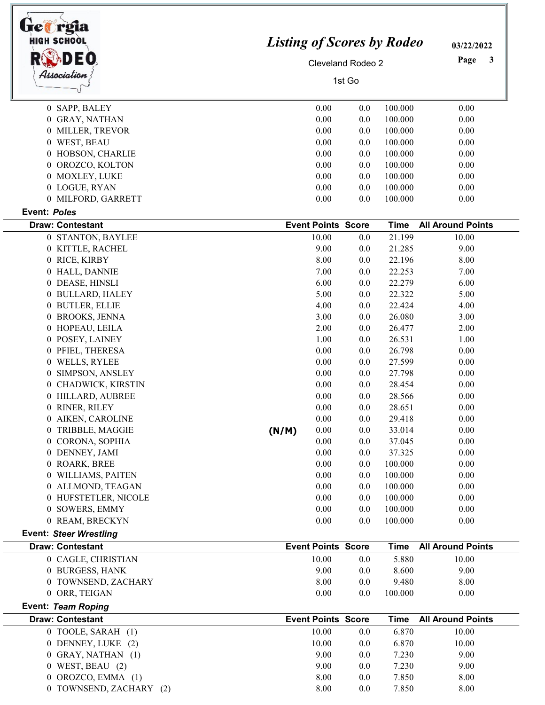| <b>Ge@rgia</b><br><b>HIGH SCHOOL</b><br>Association | <b>Listing of Scores by Rodeo</b><br><b>Cleveland Rodeo 2</b> | 03/22/2022<br>Page<br>3   |            |                    |                          |
|-----------------------------------------------------|---------------------------------------------------------------|---------------------------|------------|--------------------|--------------------------|
| 0 SAPP, BALEY                                       |                                                               | 0.00                      | 0.0        | 100.000            | 0.00                     |
| 0 GRAY, NATHAN                                      |                                                               | 0.00                      | 0.0        | 100.000            | 0.00                     |
| 0 MILLER, TREVOR                                    |                                                               | 0.00                      | 0.0        | 100.000            | 0.00                     |
| 0 WEST, BEAU                                        |                                                               | 0.00                      | 0.0        | 100.000            | 0.00                     |
| 0 HOBSON, CHARLIE                                   |                                                               | 0.00                      | 0.0        | 100.000            | 0.00                     |
| OROZCO, KOLTON<br>$\overline{0}$                    |                                                               | 0.00                      | 0.0        | 100.000            | 0.00                     |
| 0 MOXLEY, LUKE                                      |                                                               | 0.00                      | 0.0        | 100.000            | 0.00                     |
| 0 LOGUE, RYAN                                       |                                                               | 0.00                      | 0.0        | 100.000            | 0.00                     |
| 0 MILFORD, GARRETT                                  |                                                               | 0.00                      | 0.0        | 100.000            | 0.00                     |
| <b>Event: Poles</b>                                 |                                                               |                           |            |                    |                          |
| <b>Draw: Contestant</b>                             |                                                               | <b>Event Points Score</b> |            | <b>Time</b>        | <b>All Around Points</b> |
| 0 STANTON, BAYLEE                                   |                                                               | 10.00                     | 0.0        | 21.199             | 10.00                    |
| 0 KITTLE, RACHEL                                    |                                                               | 9.00                      | 0.0        | 21.285             | 9.00                     |
| 0 RICE, KIRBY                                       |                                                               | 8.00                      | 0.0        | 22.196             | 8.00                     |
| 0 HALL, DANNIE                                      |                                                               | 7.00                      | 0.0        | 22.253             | 7.00                     |
| DEASE, HINSLI<br>$\theta$                           |                                                               | 6.00                      | 0.0        | 22.279             | 6.00                     |
| <b>BULLARD, HALEY</b><br>$\theta$                   |                                                               | 5.00                      | 0.0        | 22.322             | 5.00                     |
| <b>BUTLER, ELLIE</b><br>$\theta$                    |                                                               | 4.00                      | 0.0        | 22.424             | 4.00                     |
| 0 BROOKS, JENNA                                     |                                                               | 3.00                      | 0.0        | 26.080             | 3.00                     |
| HOPEAU, LEILA<br>$\theta$                           |                                                               | 2.00                      | 0.0        | 26.477             | 2.00                     |
| 0 POSEY, LAINEY                                     |                                                               | 1.00                      | 0.0        | 26.531             | 1.00                     |
| 0 PFIEL, THERESA                                    |                                                               | 0.00                      | 0.0        | 26.798             | 0.00                     |
| WELLS, RYLEE<br>$\overline{0}$                      |                                                               | 0.00                      | 0.0        | 27.599             | 0.00                     |
| SIMPSON, ANSLEY<br>$\bf{0}$                         |                                                               | 0.00                      | 0.0        | 27.798             | 0.00                     |
| CHADWICK, KIRSTIN                                   |                                                               | 0.00                      | 0.0        | 28.454             | 0.00                     |
| 0 HILLARD, AUBREE                                   |                                                               | 0.00                      | 0.0        | 28.566             | 0.00                     |
| RINER, RILEY<br>$\theta$                            |                                                               | 0.00                      | 0.0        | 28.651             | 0.00                     |
| AIKEN, CAROLINE<br>0                                |                                                               | 0.00                      | 0.0        | 29.418             | 0.00                     |
| TRIBBLE, MAGGIE<br>$\theta$                         | (N/M)                                                         | 0.00                      | 0.0        | 33.014             | 0.00                     |
| CORONA, SOPHIA<br>0                                 |                                                               | 0.00                      | 0.0        | 37.045             | 0.00                     |
| 0 DENNEY, JAMI                                      |                                                               | 0.00                      | 0.0        | 37.325             | 0.00                     |
| ROARK, BREE<br>$\theta$                             |                                                               | 0.00                      | 0.0        | 100.000            | 0.00                     |
| WILLIAMS, PAITEN                                    |                                                               | 0.00                      | 0.0        | 100.000            | 0.00                     |
| ALLMOND, TEAGAN<br>$\Omega$                         |                                                               | 0.00                      | 0.0        | 100.000            | 0.00                     |
| 0 HUFSTETLER, NICOLE<br>0 SOWERS, EMMY              |                                                               | 0.00<br>0.00              | 0.0<br>0.0 | 100.000<br>100.000 | 0.00<br>0.00             |
| 0 REAM, BRECKYN                                     |                                                               | 0.00                      | 0.0        | 100.000            | 0.00                     |
| <b>Event: Steer Wrestling</b>                       |                                                               |                           |            |                    |                          |
| <b>Draw: Contestant</b>                             |                                                               | <b>Event Points Score</b> |            | <b>Time</b>        | <b>All Around Points</b> |
| 0 CAGLE, CHRISTIAN                                  |                                                               | 10.00                     | 0.0        | 5.880              | 10.00                    |
| 0 BURGESS, HANK                                     |                                                               | 9.00                      | 0.0        | 8.600              | 9.00                     |
| 0 TOWNSEND, ZACHARY                                 |                                                               | 8.00                      | 0.0        | 9.480              | 8.00                     |
| 0 ORR, TEIGAN                                       |                                                               | 0.00                      | 0.0        | 100.000            | 0.00                     |
| Event: Team Roping                                  |                                                               |                           |            |                    |                          |
| <b>Draw: Contestant</b>                             |                                                               | <b>Event Points Score</b> |            | <b>Time</b>        | <b>All Around Points</b> |
| 0 TOOLE, SARAH (1)                                  |                                                               | 10.00                     | 0.0        | 6.870              | 10.00                    |
| 0 DENNEY, LUKE (2)                                  |                                                               | 10.00                     | 0.0        | 6.870              | 10.00                    |
| 0 GRAY, NATHAN (1)                                  |                                                               | 9.00                      | 0.0        | 7.230              | 9.00                     |
| $0$ WEST, BEAU $(2)$                                |                                                               | 9.00                      | 0.0        | 7.230              | 9.00                     |
| 0 OROZCO, EMMA (1)                                  |                                                               | 8.00                      | 0.0        | 7.850              | 8.00                     |
| 0 TOWNSEND, ZACHARY (2)                             |                                                               | 8.00                      | 0.0        | 7.850              | 8.00                     |

 $\overline{a}$